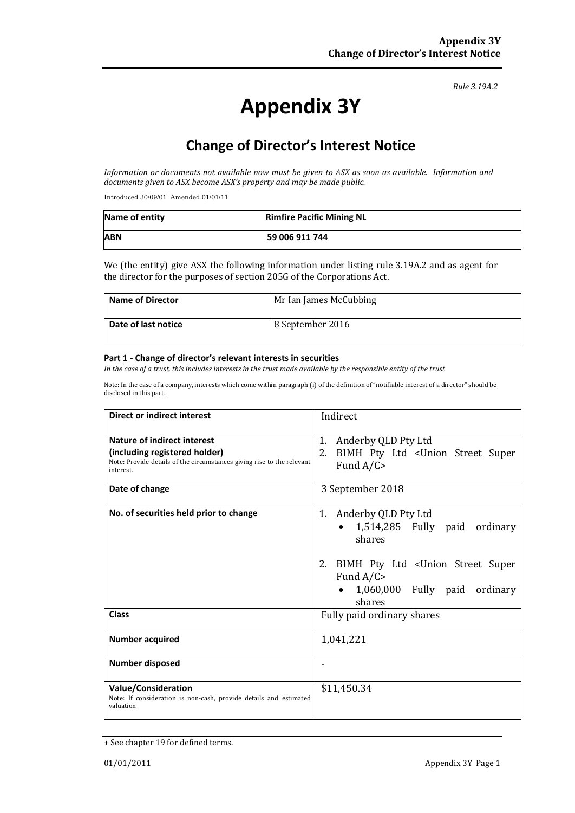#### *Rule 3.19A.2*

# **Appendix 3Y**

# **Change of Director's Interest Notice**

*Information or documents not available now must be given to ASX as soon as available. Information and documents given to ASX become ASX's property and may be made public.*

Introduced 30/09/01 Amended 01/01/11

| Name of entity | <b>Rimfire Pacific Mining NL</b> |
|----------------|----------------------------------|
| <b>ABN</b>     | 59 006 911 744                   |

We (the entity) give ASX the following information under listing rule 3.19A.2 and as agent for the director for the purposes of section 205G of the Corporations Act.

| <b>Name of Director</b> | Mr Ian James McCubbing |
|-------------------------|------------------------|
| Date of last notice     | 8 September 2016       |

#### **Part 1 - Change of director's relevant interests in securities**

*In the case of a trust, this includes interests in the trust made available by the responsible entity of the trust*

Note: In the case of a company, interests which come within paragraph (i) of the definition of "notifiable interest of a director" should be disclosed in this part.

| <b>Direct or indirect interest</b>                                                                                                                  | Indirect                                                                                                                                                                              |  |
|-----------------------------------------------------------------------------------------------------------------------------------------------------|---------------------------------------------------------------------------------------------------------------------------------------------------------------------------------------|--|
| Nature of indirect interest<br>(including registered holder)<br>Note: Provide details of the circumstances giving rise to the relevant<br>interest. | Anderby QLD Pty Ltd<br>1.<br>2.<br>BIMH Pty Ltd < Union Street Super<br>Fund $A/C$                                                                                                    |  |
| Date of change                                                                                                                                      | 3 September 2018                                                                                                                                                                      |  |
| No. of securities held prior to change                                                                                                              | 1. Anderby QLD Pty Ltd<br>1,514,285 Fully paid<br>ordinary<br>$\bullet$<br>shares<br>2. BIMH Pty Ltd < Union Street Super<br>Fund $A/C$<br>1,060,000 Fully paid<br>ordinary<br>shares |  |
| <b>Class</b>                                                                                                                                        | Fully paid ordinary shares                                                                                                                                                            |  |
| <b>Number acquired</b>                                                                                                                              | 1,041,221                                                                                                                                                                             |  |
| Number disposed                                                                                                                                     |                                                                                                                                                                                       |  |
| <b>Value/Consideration</b><br>Note: If consideration is non-cash, provide details and estimated<br>valuation                                        | \$11,450.34                                                                                                                                                                           |  |

<sup>+</sup> See chapter 19 for defined terms.